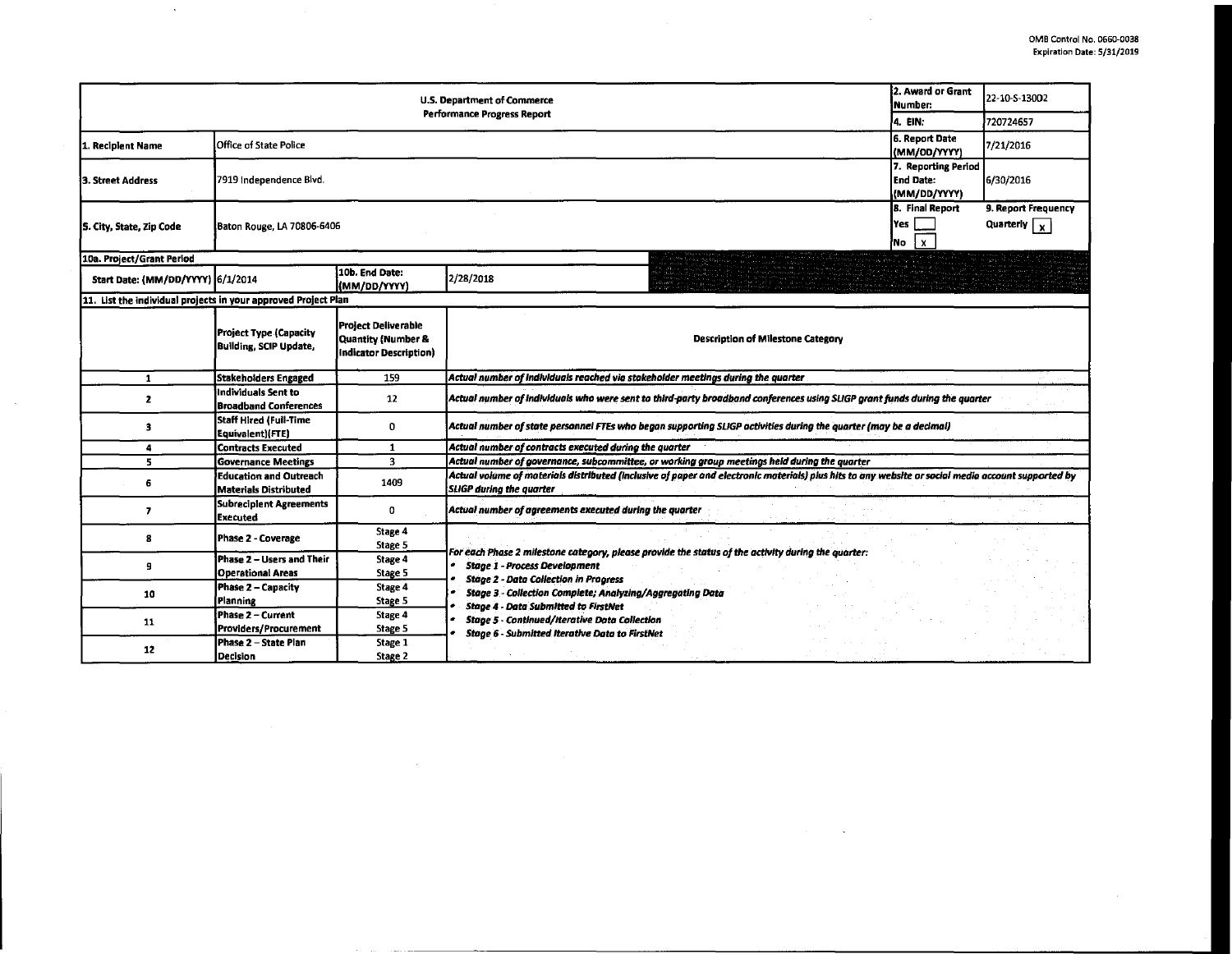$\sim$ 

 $\mathcal{L}(\mathcal{A})$  and  $\mathcal{L}(\mathcal{A})$  . The  $\mathcal{L}(\mathcal{A})$ 

| 2. Award or Grant<br>U.S. Department of Commerce<br>Number.<br><b>Performance Progress Report</b><br>4. EIN: |                                                               |                                                                            |                                                                                                                                                                                       |  | 22-10-S-13002 |
|--------------------------------------------------------------------------------------------------------------|---------------------------------------------------------------|----------------------------------------------------------------------------|---------------------------------------------------------------------------------------------------------------------------------------------------------------------------------------|--|---------------|
|                                                                                                              |                                                               |                                                                            |                                                                                                                                                                                       |  | 720724657     |
| Recipient Name                                                                                               | Office of State Police                                        | 6. Report Date<br>(MM/DD/YYYY)                                             | 7/21/2016                                                                                                                                                                             |  |               |
| 3. Street Address                                                                                            | 7919 Independence Blvd.                                       | 7. Reporting Period<br><b>End Date:</b><br>(MM/DD/YYYY)                    | 6/30/2016                                                                                                                                                                             |  |               |
| 5. City, State, Zip Code                                                                                     | Baton Rouge, LA 70806-6406                                    | <b>8. Final Report</b><br>Yes<br>$\mathbf{x}$<br>No                        | 9. Report Frequency<br>Quarterly $\sqrt{x}$                                                                                                                                           |  |               |
| 10a. Project/Grant Period                                                                                    |                                                               |                                                                            |                                                                                                                                                                                       |  |               |
| Start Date: (MM/DD/YYYY) 6/1/2014                                                                            |                                                               | 10b. End Date:<br>(MM/DD/YYYY)                                             | 2/28/2018                                                                                                                                                                             |  |               |
| 11. List the individual projects in your approved Project Plan                                               |                                                               |                                                                            |                                                                                                                                                                                       |  |               |
|                                                                                                              | <b>Project Type (Capacity</b><br>Building, SCIP Update,       | <b>Project Deliverable</b><br>Quantity (Number &<br>Indicator Description) | <b>Description of Milestone Category</b>                                                                                                                                              |  |               |
| 1                                                                                                            | <b>Stakeholders Engaged</b>                                   | 159                                                                        | Actual number of individuals reached via stakeholder meetings during the quarter                                                                                                      |  |               |
| $\mathbf{z}$                                                                                                 | Individuals Sent to<br><b>Broadband Conferences</b>           | 12                                                                         | Actual number of individuals who were sent to third-party broadband conferences using SLIGP grant funds during the quarter                                                            |  |               |
| 3                                                                                                            | Staff Hired (Full-Time<br>Equivalent)(FTE)                    | 0                                                                          | Actual number of state personnel FTEs who began supporting SLIGP activities during the quarter (may be a decimal)                                                                     |  |               |
| 4                                                                                                            | <b>Contracts Executed</b>                                     | $\mathbf{1}$                                                               | Actual number of contracts executed during the quarter                                                                                                                                |  |               |
| 5                                                                                                            | <b>Governance Meetings</b>                                    | $\overline{\mathbf{3}}$                                                    | Actual number of governance, subcommittee, or working group meetings held during the quarter                                                                                          |  |               |
| 6                                                                                                            | <b>Education and Outreach</b><br><b>Materials Distributed</b> | 1409                                                                       | Actual volume of materials distributed (inclusive of paper and electronic materials) plus hits to any website or social media account supported by<br><b>SLIGP during the quarter</b> |  |               |
| 7                                                                                                            | <b>Subreciplent Agreements</b><br><b>Executed</b>             | $\mathbf{0}$                                                               | Actual number of agreements executed during the quarter                                                                                                                               |  |               |
| 8                                                                                                            | Phase 2 - Coverage                                            | Stage 4<br>Stage 5                                                         | For each Phase 2 milestone category, please provide the status of the activity during the quarter:                                                                                    |  |               |
| 9                                                                                                            | Phase 2 – Users and Their<br><b>Operational Areas</b>         | Stage 4<br>Stage 5                                                         | <b>Stage 1 - Process Development</b><br><b>Stage 2 - Data Collection in Progress</b>                                                                                                  |  |               |
| 10                                                                                                           | Phase 2 - Capacity<br>Planning                                | Stage 4<br>Stage 5                                                         | Stage 3 - Collection Complete; Analyzing/Aggregating Data<br><b>Stage 4 - Data Submitted to FirstNet</b>                                                                              |  |               |
| 11                                                                                                           | Phase 2 - Current<br>Providers/Procurement                    | Stage 4<br>Stage 5                                                         | <b>Stage 5 - Continued/Iterative Data Collection</b><br><b>Stage 6 - Submitted Iterative Data to FirstNet</b>                                                                         |  |               |
| 12                                                                                                           | Phase 2 - State Plan<br>Decision                              | Stage 1<br>Stage 2                                                         |                                                                                                                                                                                       |  |               |

 $\sim 10^{11}$ 

 $\sim$ 

 $\sim$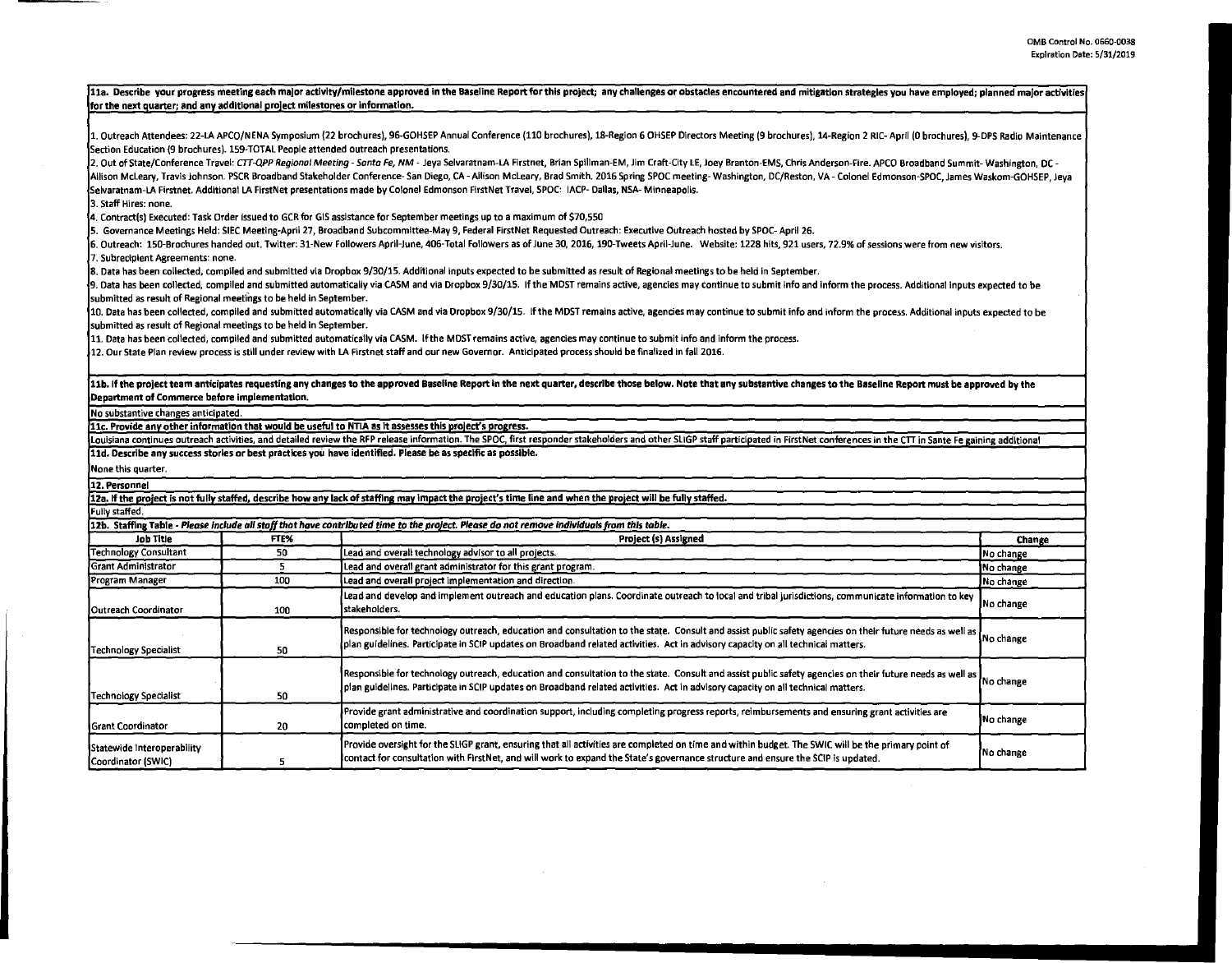|                                                                                    |      | 11a. Describe your progress meeting each major activity/milestone approved in the Baseline Report for this project; any challenges or obstacles encountered and mitigation strategies you have employed; planned major activit |           |  |  |  |  |  |
|------------------------------------------------------------------------------------|------|--------------------------------------------------------------------------------------------------------------------------------------------------------------------------------------------------------------------------------|-----------|--|--|--|--|--|
| for the next quarter; and any additional project milestones or information.        |      |                                                                                                                                                                                                                                |           |  |  |  |  |  |
|                                                                                    |      |                                                                                                                                                                                                                                |           |  |  |  |  |  |
|                                                                                    |      | 1. Outreach Attendees: 22-LA APCO/NENA Symposium (22 brochures), 96-GOHSEP Annual Conference (110 brochures), 18-Region 6 OHSEP Directors Meeting (9 brochures), 14-Region 2 RIC-April (0 brochures), 9-DPS Radio Maintenance  |           |  |  |  |  |  |
| Section Education (9 brochures). 159-TOTAL People attended outreach presentations. |      |                                                                                                                                                                                                                                |           |  |  |  |  |  |
|                                                                                    |      | 2. Out of State/Conference Travel: CTT-QPP Regional Meeting - Santa Fe, NM - Jeya Selvaratnam-LA Firstnet, Brian Spillman-EM, Jim Craft-City LE, Joey Branton-EMS, Chris Anderson-Fire. APCO Broadband Summit-Washington, DC - |           |  |  |  |  |  |
|                                                                                    |      | Allison McLeary, Travis Johnson. PSCR Broadband Stakeholder Conference- San Diego, CA - Allison McLeary, Brad Smith. 2016 Spring SPOC meeting- Washington, DC/Reston, VA - Colonel Edmonson-SPOC, James Waskom-GOHSEP, Jeva    |           |  |  |  |  |  |
|                                                                                    |      | Selvaratnam-LA Firstnet. Additional LA FirstNet presentations made by Colonel Edmonson FirstNet Travel, SPOC: IACP- Dallas, NSA- Minneapolis.                                                                                  |           |  |  |  |  |  |
| l3. Staff Hires: none.                                                             |      |                                                                                                                                                                                                                                |           |  |  |  |  |  |
|                                                                                    |      | 4. Contract(s) Executed: Task Order issued to GCR for GIS assistance for September meetings up to a maximum of \$70,550                                                                                                        |           |  |  |  |  |  |
|                                                                                    |      | 5. Governance Meetings Held: SIEC Meeting-April 27, Broadband Subcommittee-May 9, Federal FirstNet Requested Outreach: Executive Outreach hosted by SPOC-April 26.                                                             |           |  |  |  |  |  |
|                                                                                    |      | 6. Outreach: 150-Brochures handed out. Twitter: 31-New Followers April-June, 406-Total Followers as of June 30, 2016, 190-Tweets April-June. Website: 1228 hits, 921 users, 72.9% of sessions were from new visitors.          |           |  |  |  |  |  |
| 7. Subrecipient Agreements: none.                                                  |      |                                                                                                                                                                                                                                |           |  |  |  |  |  |
|                                                                                    |      | 8. Data has been collected, compiled and submitted via Dropbox 9/30/15. Additional inputs expected to be submitted as result of Regional meetings to be held in September.                                                     |           |  |  |  |  |  |
|                                                                                    |      | [9, Data has been collected, compiled and submitted automatically via CASM and via Dropbox 9/30/15. If the MDST remains active, agencies may continue to submit info and inform the process. Additional inputs expected to be  |           |  |  |  |  |  |
| submitted as result of Regional meetings to be held in September.                  |      |                                                                                                                                                                                                                                |           |  |  |  |  |  |
|                                                                                    |      | 10. Data has been collected, compiled and submitted automatically via CASM and via Dropbox 9/30/15. If the MDST remains active, agencies may continue to submit info and inform the process. Additional inputs expected to be  |           |  |  |  |  |  |
| submitted as result of Regional meetings to be held in September.                  |      |                                                                                                                                                                                                                                |           |  |  |  |  |  |
|                                                                                    |      | 11. Data has been collected, compiled and submitted automatically via CASM. If the MDST remains active, agencies may continue to submit info and inform the process.                                                           |           |  |  |  |  |  |
|                                                                                    |      | 12. Our State Plan review process is still under review with LA Firstnet staff and our new Governor. Anticipated process should be finalized in fall 2016.                                                                     |           |  |  |  |  |  |
|                                                                                    |      | 11b. If the project team anticipates requesting any changes to the approved Baseline Report in the next quarter, describe those below. Note that any substantive changes to the Baseline Report must be approved by the        |           |  |  |  |  |  |
| Department of Commerce before implementation.                                      |      |                                                                                                                                                                                                                                |           |  |  |  |  |  |
|                                                                                    |      |                                                                                                                                                                                                                                |           |  |  |  |  |  |
| No substantive changes anticipated.                                                |      | 11c. Provide any other information that would be useful to NTIA as it assesses this project's progress.                                                                                                                        |           |  |  |  |  |  |
|                                                                                    |      | Louisiana continues outreach activities, and detailed review the RFP release information. The SPOC, first responder stakeholders and other SLIGP staff participated in FirstNet conferences in the CTT in Sante Fe gaining add |           |  |  |  |  |  |
|                                                                                    |      | 11d. Describe any success stories or best practices you have identified. Please be as specific as possible.                                                                                                                    |           |  |  |  |  |  |
| None this quarter.                                                                 |      |                                                                                                                                                                                                                                |           |  |  |  |  |  |
|                                                                                    |      |                                                                                                                                                                                                                                |           |  |  |  |  |  |
| 12. Personnel                                                                      |      |                                                                                                                                                                                                                                |           |  |  |  |  |  |
|                                                                                    |      | 12a. If the project is not fully staffed, describe how any lack of staffing may impact the project's time line and when the project will be fully staffed.                                                                     |           |  |  |  |  |  |
| <b>Fully staffed.</b>                                                              |      |                                                                                                                                                                                                                                |           |  |  |  |  |  |
|                                                                                    |      | 12b. Staffing Table - Please include all staff that have contributed time to the project. Please do not remove individuals from this table.                                                                                    |           |  |  |  |  |  |
| <b>Job Title</b>                                                                   | FTE% | Project (s) Assigned                                                                                                                                                                                                           | Change    |  |  |  |  |  |
| <b>Technology Consultant</b>                                                       | 50   | Lead and overall technology advisor to all projects.                                                                                                                                                                           | No change |  |  |  |  |  |
| <b>Grant Administrator</b>                                                         | 5    | Lead and overall grant administrator for this grant program.                                                                                                                                                                   | No change |  |  |  |  |  |
| Program Manager                                                                    | 100  | Lead and overall project implementation and direction.                                                                                                                                                                         | No change |  |  |  |  |  |
| Outreach Coordinator                                                               | 100  | Lead and develop and implement outreach and education plans. Coordinate outreach to local and tribal jurisdictions, communicate information to key<br>stakeholders.                                                            | No change |  |  |  |  |  |
|                                                                                    |      |                                                                                                                                                                                                                                |           |  |  |  |  |  |
|                                                                                    |      | Responsible for technology outreach, education and consultation to the state. Consult and assist public safety agencies on their future needs as well as                                                                       | No change |  |  |  |  |  |
| <b>Technology Specialist</b>                                                       | 50   | plan guidelines. Participate in SCIP updates on Broadband related activities. Act in advisory capacity on all technical matters.                                                                                               |           |  |  |  |  |  |
|                                                                                    |      |                                                                                                                                                                                                                                |           |  |  |  |  |  |
|                                                                                    |      | Responsible for technology outreach, education and consultation to the state. Consult and assist public safety agencies on their future needs as well as                                                                       |           |  |  |  |  |  |
|                                                                                    |      | plan guidelines. Participate in SCIP updates on Broadband related activities. Act in advisory capacity on all technical matters.                                                                                               | No change |  |  |  |  |  |
| <b>Technology Specialist</b>                                                       | 50   |                                                                                                                                                                                                                                |           |  |  |  |  |  |
|                                                                                    |      | Provide grant administrative and coordination support, including completing progress reports, reimbursements and ensuring grant activities are                                                                                 | No change |  |  |  |  |  |
| <b>Grant Coordinator</b>                                                           | 20   | completed on time.                                                                                                                                                                                                             |           |  |  |  |  |  |
|                                                                                    |      | Provide oversight for the SLIGP grant, ensuring that all activities are completed on time and within budget. The SWIC will be the primary point of                                                                             |           |  |  |  |  |  |
| Statewide Interoperability                                                         |      | No change<br>contact for consultation with FirstNet, and will work to expand the State's governance structure and ensure the SCIP is updated.                                                                                  |           |  |  |  |  |  |
| Coordinator (SWIC)                                                                 | 5    |                                                                                                                                                                                                                                |           |  |  |  |  |  |